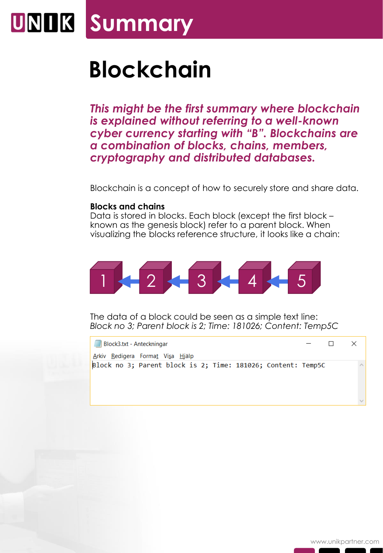### **Blockchain**

*This might be the first summary where blockchain is explained without referring to a well-known cyber currency starting with "B". Blockchains are a combination of blocks, chains, members, cryptography and distributed databases.*

Blockchain is a concept of how to securely store and share data.

#### **Blocks and chains**

Data is stored in blocks. Each block (except the first block – known as the genesis block) refer to a parent block. When visualizing the blocks reference structure, it looks like a chain:



The data of a block could be seen as a simple text line: *Block no 3; Parent block is 2; Time: 181026; Content: Temp5C*

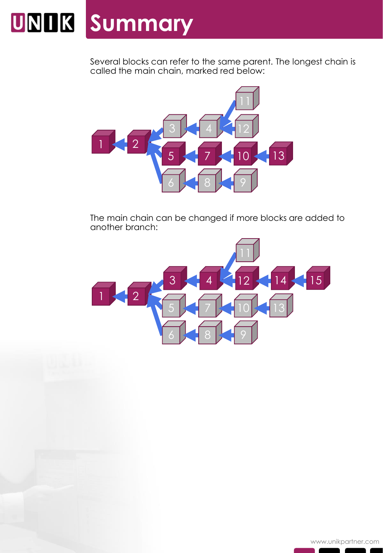Several blocks can refer to the same parent. The longest chain is called the main chain, marked red below:



The main chain can be changed if more blocks are added to another branch:

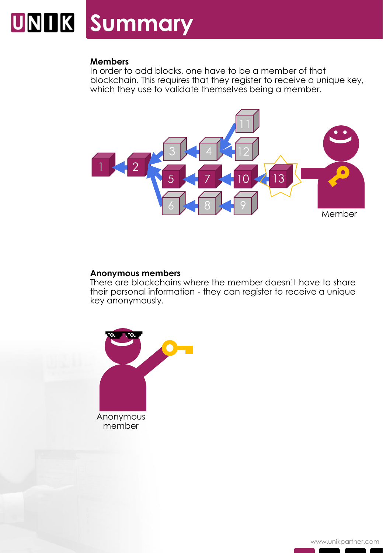#### **Members**

In order to add blocks, one have to be a member of that blockchain. This requires that they register to receive a unique key, which they use to validate themselves being a member.



### **Anonymous members**

There are blockchains where the member doesn't have to share their personal information - they can register to receive a unique key anonymously.

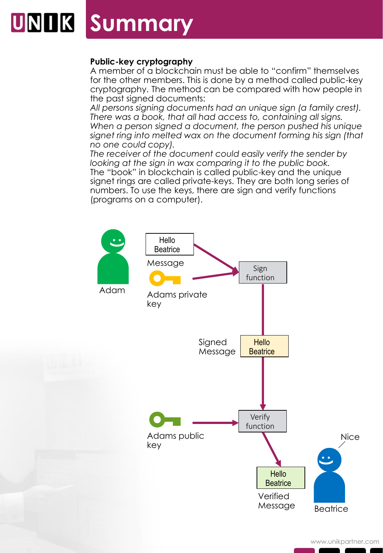## **Summary**

### **Public-key cryptography**

A member of a blockchain must be able to "confirm" themselves for the other members. This is done by a method called public-key cryptography. The method can be compared with how people in the past signed documents:

*All persons signing documents had an unique sign (a family crest). There was a book, that all had access to, containing all signs. When a person signed a document, the person pushed his unique signet ring into melted wax on the document forming his sign (that no one could copy).*

*The receiver of the document could easily verify the sender by looking at the sign in wax comparing it to the public book.* The "book" in blockchain is called public-key and the unique signet rings are called private-keys. They are both long series of numbers. To use the keys, there are sign and verify functions (programs on a computer).



www.unikpartner.com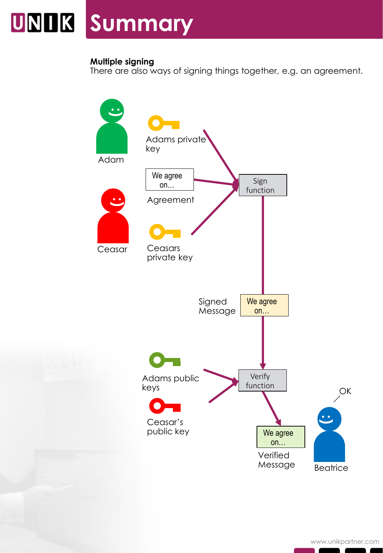### **Multiple signing**

There are also ways of signing things together, e.g. an agreement.

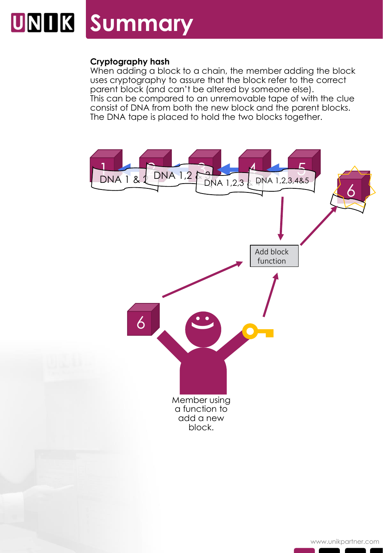#### **Cryptography hash**

When adding a block to a chain, the member adding the block uses cryptography to assure that the block refer to the correct parent block (and can't be altered by someone else). This can be compared to an unremovable tape of with the clue consist of DNA from both the new block and the parent blocks. The DNA tape is placed to hold the two blocks together.

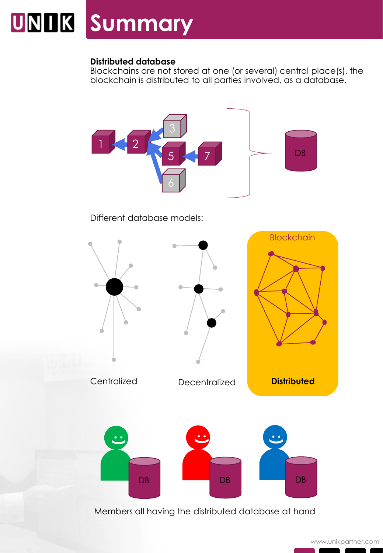### **Distributed database**

Blockchains are not stored at one (or several) central place(s), the blockchain is distributed to all parties involved, as a database.



Different database models:

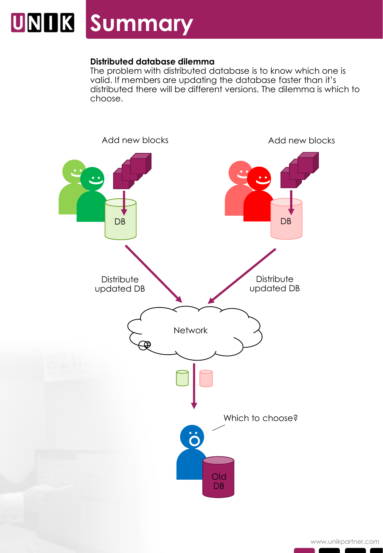### **Distributed database dilemma**

The problem with distributed database is to know which one is valid. If members are updating the database faster than it's distributed there will be different versions. The dilemma is which to choose.



www.unikpartner.com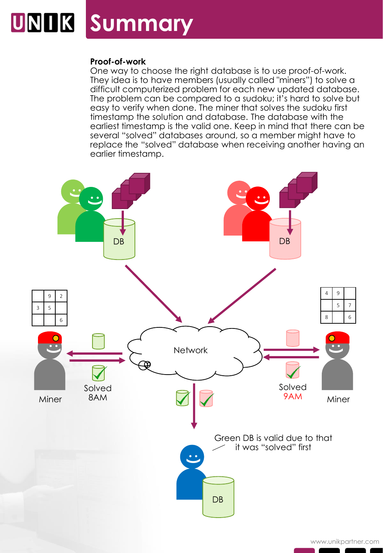#### **Proof-of-work**

One way to choose the right database is to use proof-of-work. They idea is to have members (usually called "miners") to solve a difficult computerized problem for each new updated database. The problem can be compared to a sudoku; it's hard to solve but easy to verify when done. The miner that solves the sudoku first timestamp the solution and database. The database with the earliest timestamp is the valid one. Keep in mind that there can be several "solved" databases around, so a member might have to replace the "solved" database when receiving another having an earlier timestamp.